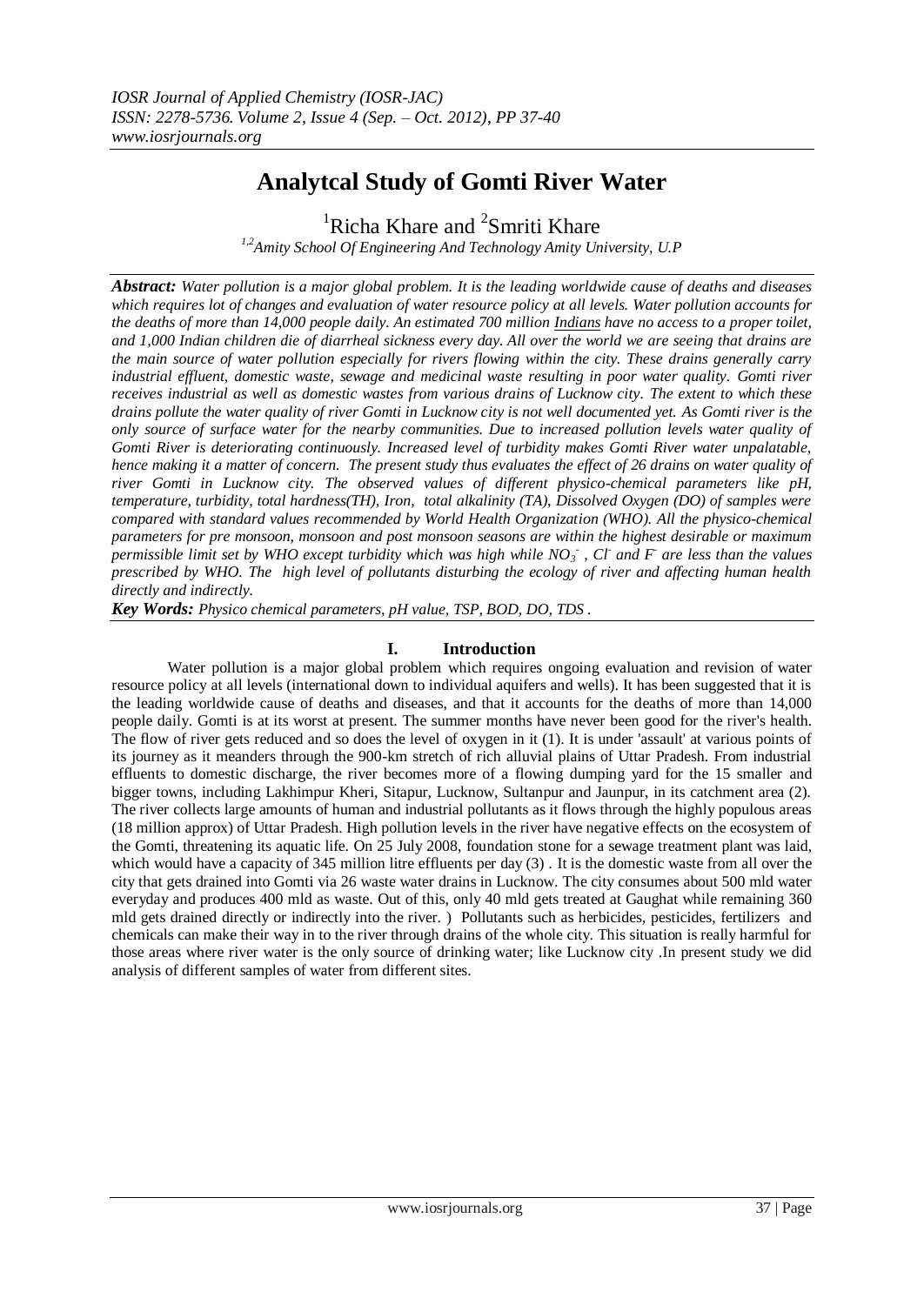# **Analytcal Study of Gomti River Water**

<sup>1</sup>Richa Khare and <sup>2</sup>Smriti Khare

*1,2Amity School Of Engineering And Technology Amity University, U.P*

*Abstract: Water pollution is a major global problem. It is the leading worldwide cause of deaths and diseases which requires lot of changes and evaluation of water resource policy at all levels. Water pollution accounts for the deaths of more than 14,000 people daily. An estimated 700 million [Indians](http://en.wikipedia.org/wiki/India) have no access to a proper toilet, and 1,000 Indian children die of diarrheal sickness every day. All over the world we are seeing that drains are the main source of water pollution especially for rivers flowing within the city. These drains generally carry industrial effluent, domestic waste, sewage and medicinal waste resulting in poor water quality. Gomti river receives industrial as well as domestic wastes from various drains of Lucknow city. The extent to which these drains pollute the water quality of river Gomti in Lucknow city is not well documented yet. As Gomti river is the only source of surface water for the nearby communities. Due to increased pollution levels water quality of Gomti River is deteriorating continuously. Increased level of turbidity makes Gomti River water unpalatable, hence making it a matter of concern. The present study thus evaluates the effect of 26 drains on water quality of river Gomti in Lucknow city. The observed values of different physico-chemical parameters like pH, temperature, turbidity, total hardness(TH), Iron, total alkalinity (TA), Dissolved Oxygen (DO) of samples were compared with standard values recommended by World Health Organization (WHO). All the physico-chemical parameters for pre monsoon, monsoon and post monsoon seasons are within the highest desirable or maximum permissible limit set by WHO except turbidity which was high while NO<sup>3</sup> - , Cl-and F-are less than the values prescribed by WHO. The high level of pollutants disturbing the ecology of river and affecting human health directly and indirectly.* 

*Key Words: Physico chemical parameters, pH value, TSP, BOD, DO, TDS .*

## **I. Introduction**

Water pollution is a major global problem which requires ongoing evaluation and revision of water resource policy at all levels (international down to individual aquifers and wells). It has been suggested that it is the leading worldwide cause of deaths and diseases, and that it accounts for the deaths of more than 14,000 people daily. Gomti is at its worst at present. The summer months have never been good for the river's health. The flow of river gets reduced and so does the level of oxygen in it (1). It is under 'assault' at various points of its journey as it meanders through the 900-km stretch of rich alluvial plains of Uttar Pradesh. From industrial effluents to domestic discharge, the river becomes more of a flowing dumping yard for the 15 smaller and bigger towns, including Lakhimpur Kheri, Sitapur, Lucknow, Sultanpur and Jaunpur, in its catchment area (2). The river collects large amounts of human and industrial pollutants as it flows through the highly populous areas (18 million approx) of Uttar Pradesh. High pollution levels in the river have negative effects on the ecosystem of the Gomti, threatening its aquatic life. On 25 July 2008, foundation stone for a [sewage treatment plant](http://en.wikipedia.org/wiki/Sewage_treatment_plant) was laid, which would have a capacity of 345 million litre effluents per day (3). It is the domestic waste from all over the city that gets drained into Gomti via 26 waste water drains in Lucknow. The city consumes about 500 mld water everyday and produces 400 mld as waste. Out of this, only 40 mld gets treated at Gaughat while remaining 360 mld gets drained directly or indirectly into the river. ) Pollutants such as herbicides, pesticides, fertilizers and chemicals can make their way in to the river through drains of the whole city. This situation is really harmful for those areas where river water is the only source of drinking water; like Lucknow city .In present study we did analysis of different samples of water from different sites.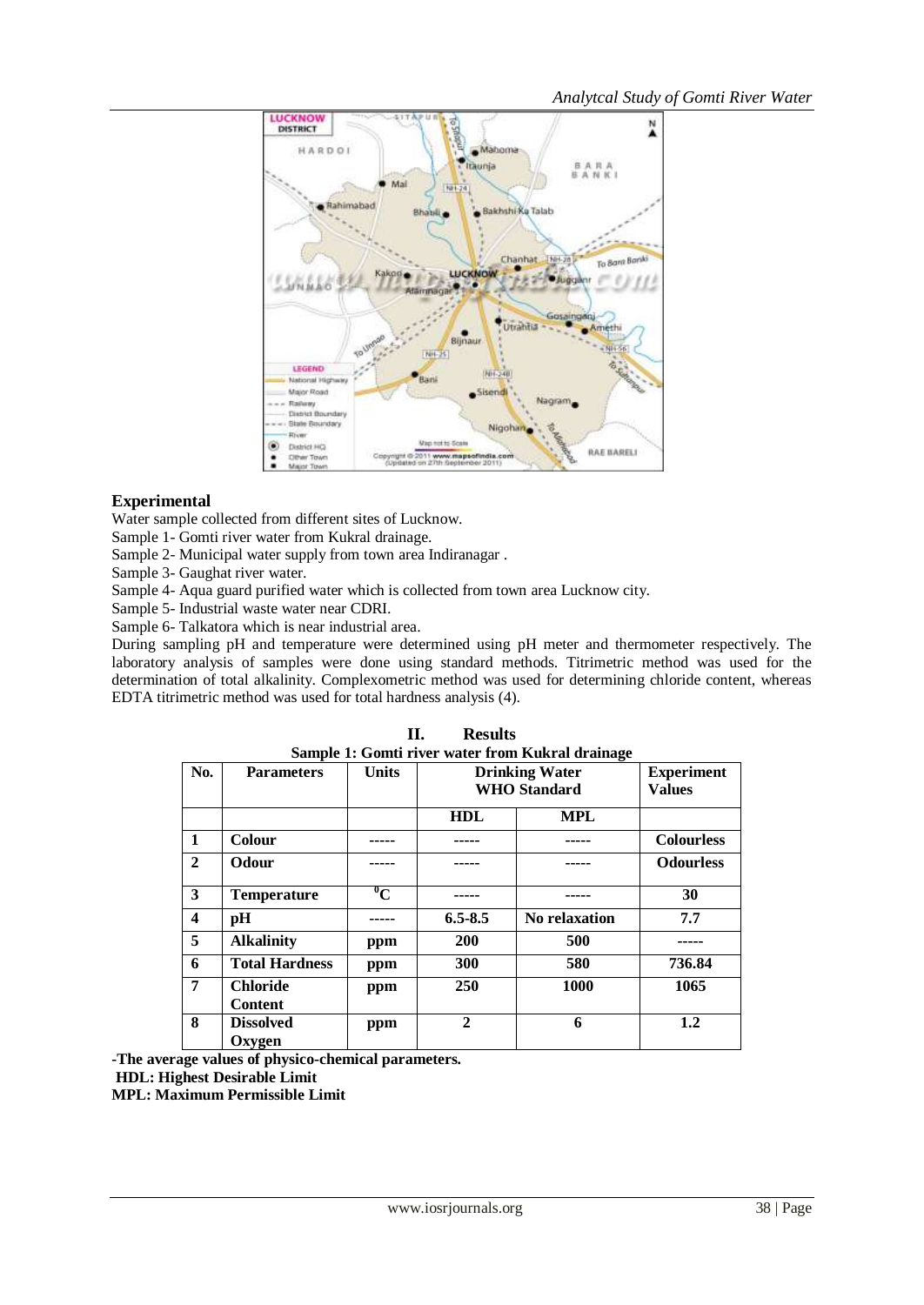

## **Experimental**

Water sample collected from different sites of Lucknow.

Sample 1- Gomti river water from Kukral drainage.

Sample 2- Municipal water supply from town area Indiranagar .

Sample 3- Gaughat river water.

Sample 4- Aqua guard purified water which is collected from town area Lucknow city.

Sample 5- Industrial waste water near CDRI.

Sample 6- Talkatora which is near industrial area.

During sampling pH and temperature were determined using pH meter and thermometer respectively. The laboratory analysis of samples were done using standard methods. Titrimetric method was used for the determination of total alkalinity. Complexometric method was used for determining chloride content, whereas EDTA titrimetric method was used for total hardness analysis (4).

|                         | Sample 1: Gomti river water from Kukral drainage |              |                       |               |                   |  |  |  |
|-------------------------|--------------------------------------------------|--------------|-----------------------|---------------|-------------------|--|--|--|
| No.                     | <b>Parameters</b>                                | <b>Units</b> | <b>Drinking Water</b> |               | <b>Experiment</b> |  |  |  |
|                         |                                                  |              | <b>WHO</b> Standard   |               | <b>Values</b>     |  |  |  |
|                         |                                                  |              |                       |               |                   |  |  |  |
|                         |                                                  |              | <b>HDL</b>            | <b>MPL</b>    |                   |  |  |  |
| $\mathbf{1}$            | <b>Colour</b>                                    |              |                       |               | <b>Colourless</b> |  |  |  |
| $\mathbf{2}$            | Odour                                            |              |                       |               | <b>Odourless</b>  |  |  |  |
| 3                       | <b>Temperature</b>                               | $\rm ^{0}C$  |                       |               | 30                |  |  |  |
| $\overline{\mathbf{4}}$ | pН                                               |              | $6.5 - 8.5$           | No relaxation | 7.7               |  |  |  |
| 5                       | <b>Alkalinity</b>                                | ppm          | 200                   | 500           |                   |  |  |  |
| 6                       | <b>Total Hardness</b>                            | ppm          | 300                   | 580           | 736.84            |  |  |  |
| 7                       | <b>Chloride</b>                                  | ppm          | 250                   | 1000          | 1065              |  |  |  |
|                         | <b>Content</b>                                   |              |                       |               |                   |  |  |  |
| 8                       | <b>Dissolved</b>                                 | ppm          | $\overline{2}$        | 6             | 1.2               |  |  |  |
|                         | Oxygen                                           |              |                       |               |                   |  |  |  |

|                                                  | П. | <b>Results</b> |  |
|--------------------------------------------------|----|----------------|--|
| Sample 1: Gomti river water from Kukral drainage |    |                |  |

**-The average values of physico-chemical parameters. HDL: Highest Desirable Limit MPL: Maximum Permissible Limit**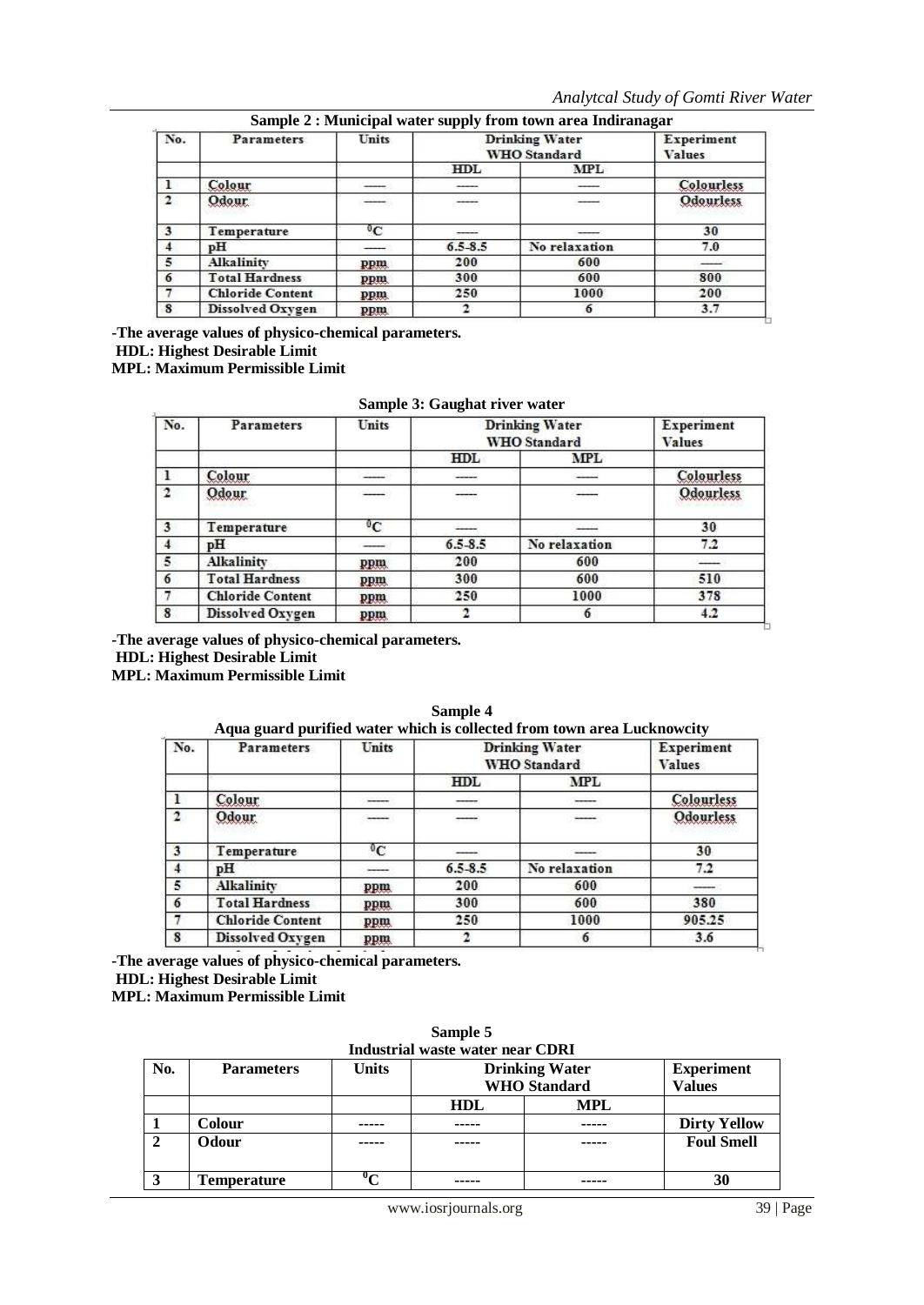| No.          | <b>Parameters</b>       | Units       | <b>Drinking Water</b><br><b>WHO</b> Standard |               | Experiment<br>Values |
|--------------|-------------------------|-------------|----------------------------------------------|---------------|----------------------|
|              |                         |             | HDL                                          | MPL           |                      |
|              | Colour                  |             | -----                                        |               | Colourless           |
| $\mathbf{2}$ | Odour                   | ----        | -----                                        |               | <b>Odourless</b>     |
| 3            | Temperature             | $\rm ^{0}C$ |                                              |               | 30                   |
|              | pH                      |             | $6.5 - 8.5$                                  | No relaxation | 7.0                  |
| 5            | Alkalinity              | ppm         | 200                                          | 600           | المستنبذ             |
| 6            | <b>Total Hardness</b>   | ppm.        | 300                                          | 600           | 800                  |
|              | <b>Chloride Content</b> | ppm.        | 250                                          | 1000          | 200                  |
| 8            | Dissolved Oxygen        | ppm.        |                                              |               | 3.7                  |

**Sample 2 : Municipal water supply from town area Indiranagar**

**-The average values of physico-chemical parameters.**

**HDL: Highest Desirable Limit**

**MPL: Maximum Permissible Limit**

| No.            | <b>Parameters</b>       | Units | <b>Drinking Water</b><br><b>WHO</b> Standard |                 | Experiment<br><b>Values</b> |
|----------------|-------------------------|-------|----------------------------------------------|-----------------|-----------------------------|
|                |                         |       | HDL                                          | <b>MPL</b>      |                             |
|                | Colour                  |       | -----                                        |                 | Colourless                  |
| $\overline{2}$ | Odour                   | ----  | -----                                        | $\qquad \qquad$ | Odourless                   |
| 3              | Temperature             | °C    | -----                                        |                 | 30                          |
| $\overline{4}$ | pH                      |       | $6.5 - 8.5$                                  | No relaxation   | 7.2                         |
| 5              | <b>Alkalinity</b>       | ppm   | 200                                          | 600             |                             |
| 6              | <b>Total Hardness</b>   | ppm   | 300                                          | 600             | 510                         |
|                | <b>Chloride Content</b> | ppm   | 250                                          | 1000            | 378                         |
| 8              | Dissolved Oxygen        | ppm   |                                              | 6               | 4.2                         |

**-The average values of physico-chemical parameters.**

**HDL: Highest Desirable Limit**

**MPL: Maximum Permissible Limit**

**Aqua guard purified water which is collected from town area Lucknowcity** Parameters Units **Drinking Water** Experiment No. **WHO** Standard **Values** HDL **MPL** Colourless  $\mathbf{1}$ Colour  $\overline{2}$ **Odourless** Odour  $\sigma$  $\overline{\mathbf{3}}$ Temperature 30  $6.5 - 8.5$  $7.2$  $\overline{4}$ No relaxation pН Alkalinity 5 200 600 ppm **Total Hardness** 380  $\boldsymbol{6}$ 300 600 ppm  $\overline{7}$ **Chloride Content** 250 905.25 ppm 1000 Dissolved Oxygen  $\overline{\mathbf{8}}$  $\overline{\mathbf{2}}$ 6  $3.6$ ppm

**Sample 4**

**-The average values of physico-chemical parameters.**

**HDL: Highest Desirable Limit**

**MPL: Maximum Permissible Limit**

| <b>Industrial waste water near CDRI</b> |                    |                           |                                            |               |                     |  |  |
|-----------------------------------------|--------------------|---------------------------|--------------------------------------------|---------------|---------------------|--|--|
| No.                                     | <b>Parameters</b>  | Units                     | <b>Experiment</b><br><b>Drinking Water</b> |               |                     |  |  |
|                                         |                    |                           | <b>WHO</b> Standard                        | <b>Values</b> |                     |  |  |
|                                         |                    |                           |                                            |               |                     |  |  |
|                                         | <b>Colour</b>      | -----                     | -----                                      | -----         | <b>Dirty Yellow</b> |  |  |
| $\overline{2}$                          | <b>Odour</b>       |                           | ----                                       |               | <b>Foul Smell</b>   |  |  |
|                                         |                    |                           |                                            |               |                     |  |  |
|                                         | <b>Temperature</b> | $\mathbf{0}_{\mathbf{C}}$ |                                            |               | 30                  |  |  |

**Sample 5**